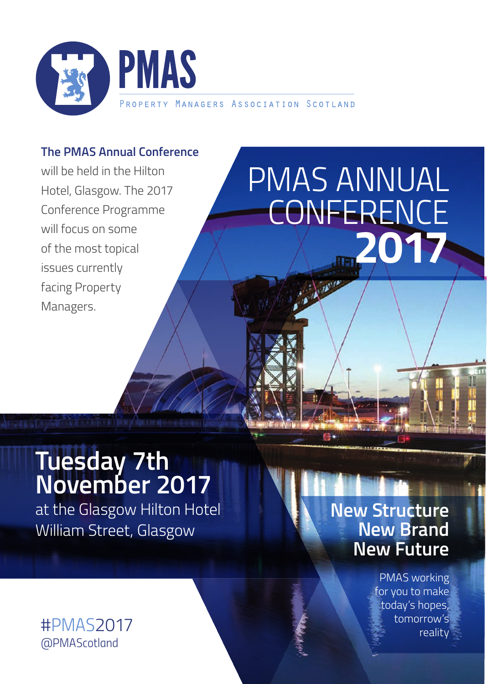

## **The PMAS Annual Conference**

will be held in the Hilton Hotel, Glasgow. The 2017 Conference Programme will focus on some of the most topical issues currently facing Property Managers.

# *PMAS ANNUAL CONFERENCE*  **2017**

## **Tuesday 7th November 2017**

at the Glasgow Hilton Hotel William Street, Glasgow

## *#PMAS2017 @PMAScotland*

## **New Structure New Brand New Future**

PMAS working for you to make today's hopes, tomorrow's reality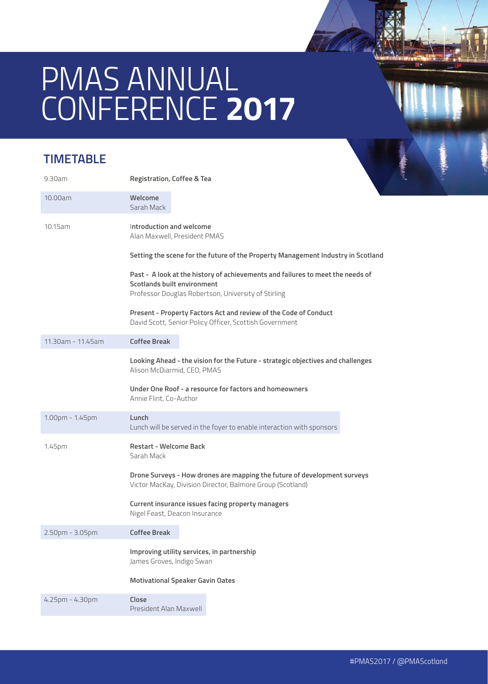# *PMAS ANNUAL CONFERENCE* **2017**

## **TIMETABLE**

| 9.30am            | <b>Registration, Coffee &amp; Tea</b>                                                                                                                                |
|-------------------|----------------------------------------------------------------------------------------------------------------------------------------------------------------------|
| 10.00am           | Welcome<br>Sarah Mack                                                                                                                                                |
| 10.15am           | Introduction and welcome<br>Alan Maxwell, President PMAS                                                                                                             |
|                   | Setting the scene for the future of the Property Management Industry in Scotland                                                                                     |
|                   | Past - A look at the history of achievements and failures to meet the needs of<br>Scotlands built environment<br>Professor Douglas Robertson, University of Stirling |
|                   | Present - Property Factors Act and review of the Code of Conduct<br>David Scott, Senior Policy Officer, Scottish Government                                          |
| 11.30am - 11.45am | <b>Coffee Break</b>                                                                                                                                                  |
|                   | Looking Ahead - the vision for the Future - strategic objectives and challenges<br>Alison McDiarmid, CEO, PMAS                                                       |
|                   | Under One Roof - a resource for factors and homeowners<br>Annie Flint, Co-Author                                                                                     |
| 1.00pm - 1.45pm   | Lunch<br>Lunch will be served in the foyer to enable interaction with sponsors                                                                                       |
| 1.45pm            | <b>Restart - Welcome Back</b><br>Sarah Mack                                                                                                                          |
|                   | Drone Surveys - How drones are mapping the future of development surveys<br>Victor MacKay, Division Director, Balmore Group (Scotland)                               |
|                   | Current insurance issues facing property managers<br>Nigel Feast, Deacon Insurance                                                                                   |
| 2.50pm - 3.05pm   | <b>Coffee Break</b>                                                                                                                                                  |
|                   | Improving utility services, in partnership<br>James Groves, Indigo Swan                                                                                              |
|                   | <b>Motivational Speaker Gavin Oates</b>                                                                                                                              |
| 4.25pm - 4.30pm   | Close<br>President Alan Maxwell                                                                                                                                      |
|                   |                                                                                                                                                                      |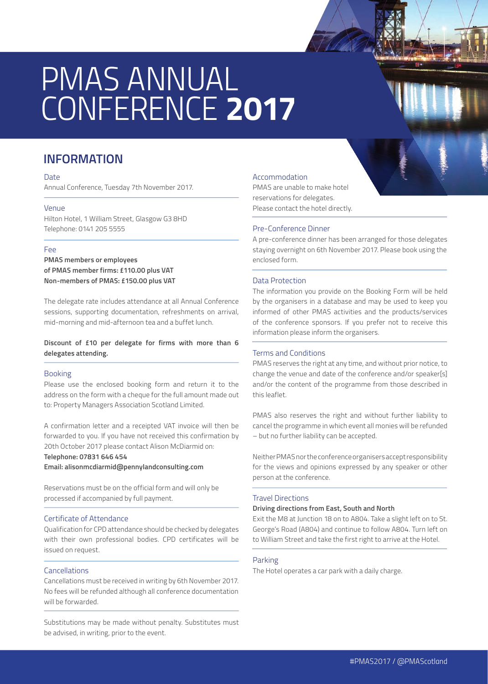# *PMAS ANNUAL CONFERENCE* **2017**

### **INFORMATION**

#### Date

Annual Conference, Tuesday 7th November 2017.

### Venue

Hilton Hotel, 1 William Street, Glasgow G3 8HD Telephone: 0141 205 5555

#### Fee

**PMAS members or employees of PMAS member firms: £110.00 plus VAT Non-members of PMAS: £150.00 plus VAT**

The delegate rate includes attendance at all Annual Conference sessions, supporting documentation, refreshments on arrival, mid-morning and mid-afternoon tea and a buffet lunch.

### **Discount of £10 per delegate for firms with more than 6 delegates attending.**

#### Booking

Please use the enclosed booking form and return it to the address on the form with a cheque for the full amount made out to: Property Managers Association Scotland Limited.

A confirmation letter and a receipted VAT invoice will then be forwarded to you. If you have not received this confirmation by 20th October 2017 please contact Alison McDiarmid on:

#### **Telephone: 07831 646 454**

**Email: alisonmcdiarmid@pennylandconsulting.com**

Reservations must be on the official form and will only be processed if accompanied by full payment.

#### Certificate of Attendance

Qualification for CPD attendance should be checked by delegates with their own professional bodies. CPD certificates will be issued on request.

#### Cancellations

Cancellations must be received in writing by 6th November 2017. No fees will be refunded although all conference documentation will be forwarded.

Substitutions may be made without penalty. Substitutes must be advised, in writing, prior to the event.

#### Accommodation

PMAS are unable to make hotel reservations for delegates. Please contact the hotel directly.

### Pre-Conference Dinner

A pre-conference dinner has been arranged for those delegates staying overnight on 6th November 2017. Please book using the enclosed form.

#### Data Protection

The information you provide on the Booking Form will be held by the organisers in a database and may be used to keep you informed of other PMAS activities and the products/services of the conference sponsors. If you prefer not to receive this information please inform the organisers.

#### Terms and Conditions

PMAS reserves the right at any time, and without prior notice, to change the venue and date of the conference and/or speaker[s] and/or the content of the programme from those described in this leaflet.

PMAS also reserves the right and without further liability to cancel the programme in which event all monies will be refunded – but no further liability can be accepted.

Neither PMAS nor the conference organisers accept responsibility for the views and opinions expressed by any speaker or other person at the conference.

#### Travel Directions

#### **Driving directions from East, South and North**

Exit the M8 at Junction 18 on to A804. Take a slight left on to St. George's Road (A804) and continue to follow A804. Turn left on to William Street and take the first right to arrive at the Hotel.

#### Parking

The Hotel operates a car park with a daily charge.